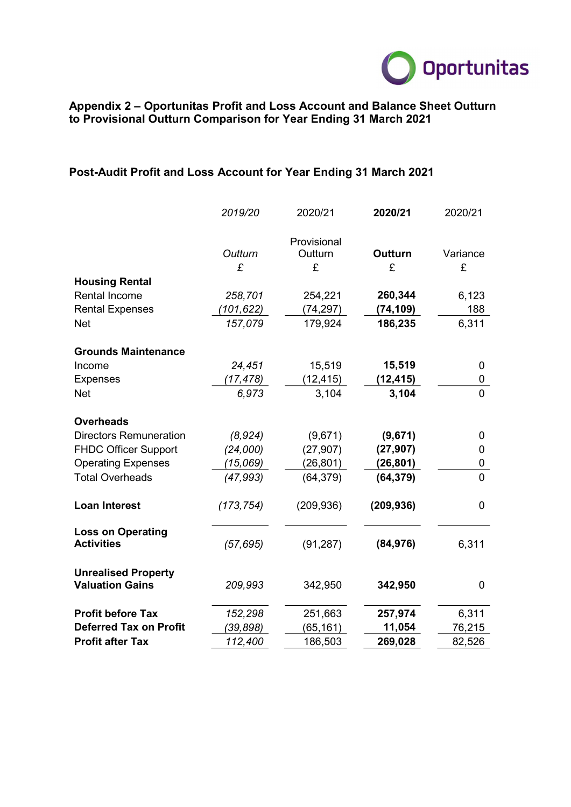

## Appendix 2 – Oportunitas Profit and Loss Account and Balance Sheet Outturn to Provisional Outturn Comparison for Year Ending 31 March 2021

## Post-Audit Profit and Loss Account for Year Ending 31 March 2021

|                                                      | 2019/20    | 2020/21            | 2020/21        | 2020/21        |  |
|------------------------------------------------------|------------|--------------------|----------------|----------------|--|
|                                                      |            | Provisional        |                |                |  |
|                                                      | Outturn    | Outturn            | <b>Outturn</b> | Variance       |  |
|                                                      | £          | £                  | £              | £              |  |
| <b>Housing Rental</b>                                |            |                    |                |                |  |
| <b>Rental Income</b>                                 | 258,701    | 254,221            | 260,344        | 6,123          |  |
| <b>Rental Expenses</b>                               | (101, 622) | (74, 297)          | (74, 109)      | 188            |  |
| <b>Net</b>                                           | 157,079    | 179,924<br>186,235 |                | 6,311          |  |
| <b>Grounds Maintenance</b>                           |            |                    |                |                |  |
| Income                                               | 24,451     | 15,519             | 15,519         | 0              |  |
| <b>Expenses</b>                                      | (17, 478)  | (12, 415)          | (12, 415)      | 0              |  |
| <b>Net</b>                                           | 6,973      | 3,104              | 3,104          | $\overline{0}$ |  |
| <b>Overheads</b>                                     |            |                    |                |                |  |
| <b>Directors Remuneration</b>                        | (8,924)    | (9,671)            | (9,671)        | 0              |  |
| <b>FHDC Officer Support</b>                          | (24,000)   | (27, 907)          | (27, 907)      | 0              |  |
| <b>Operating Expenses</b>                            | (15,069)   | (26, 801)          | (26, 801)      | 0              |  |
| <b>Total Overheads</b>                               | (47, 993)  | (64, 379)          | (64, 379)      | $\overline{0}$ |  |
| <b>Loan Interest</b>                                 | (173, 754) | (209, 936)         | (209, 936)     | 0              |  |
| <b>Loss on Operating</b><br><b>Activities</b>        | (57, 695)  | (91, 287)          | (84, 976)      | 6,311          |  |
| <b>Unrealised Property</b><br><b>Valuation Gains</b> | 209,993    | 342,950            | 342,950        | 0              |  |
| <b>Profit before Tax</b>                             | 152,298    | 251,663            | 257,974        | 6,311          |  |
| <b>Deferred Tax on Profit</b>                        | (39,898)   | (65,161)           | 11,054         | 76,215         |  |
| <b>Profit after Tax</b>                              | 112,400    | 186,503            | 269,028        | 82,526         |  |